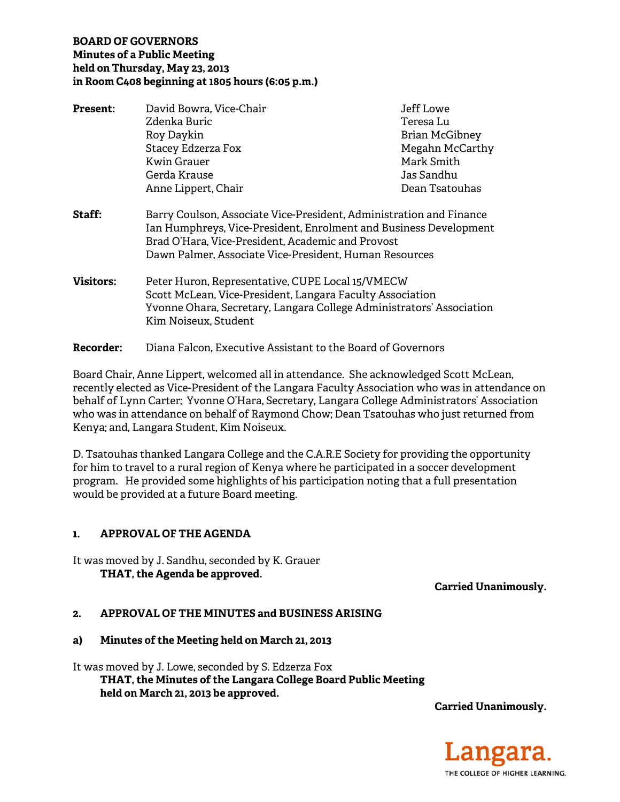## **BOARD OF GOVERNORS Minutes of a Public Meeting held on Thursday, May 23, 2013 in Room C408 beginning at 1805 hours (6:05 p.m.)**

| <b>Present:</b>  | David Bowra, Vice-Chair                                                                                                                                                                                                                                 | Jeff Lowe             |
|------------------|---------------------------------------------------------------------------------------------------------------------------------------------------------------------------------------------------------------------------------------------------------|-----------------------|
|                  | Zdenka Buric                                                                                                                                                                                                                                            | Teresa Lu             |
|                  | Roy Daykin                                                                                                                                                                                                                                              | <b>Brian McGibney</b> |
|                  | <b>Stacey Edzerza Fox</b>                                                                                                                                                                                                                               | Megahn McCarthy       |
|                  | Kwin Grauer                                                                                                                                                                                                                                             | Mark Smith            |
|                  | Gerda Krause                                                                                                                                                                                                                                            | Jas Sandhu            |
|                  | Anne Lippert, Chair                                                                                                                                                                                                                                     | Dean Tsatouhas        |
| Staff:           | Barry Coulson, Associate Vice-President, Administration and Finance<br>Ian Humphreys, Vice-President, Enrolment and Business Development<br>Brad O'Hara, Vice-President, Academic and Provost<br>Dawn Palmer, Associate Vice-President, Human Resources |                       |
| <b>Visitors:</b> | Peter Huron, Representative, CUPE Local 15/VMECW<br>Scott McLean, Vice-President, Langara Faculty Association<br>Yvonne Ohara, Secretary, Langara College Administrators' Association<br>Kim Noiseux, Student                                           |                       |
|                  |                                                                                                                                                                                                                                                         |                       |

**Recorder:** Diana Falcon, Executive Assistant to the Board of Governors

Board Chair, Anne Lippert, welcomed all in attendance. She acknowledged Scott McLean, recently elected as Vice-President of the Langara Faculty Association who was in attendance on behalf of Lynn Carter; Yvonne O'Hara, Secretary, Langara College Administrators' Association who was in attendance on behalf of Raymond Chow; Dean Tsatouhas who just returned from Kenya; and, Langara Student, Kim Noiseux.

D. Tsatouhas thanked Langara College and the C.A.R.E Society for providing the opportunity for him to travel to a rural region of Kenya where he participated in a soccer development program. He provided some highlights of his participation noting that a full presentation would be provided at a future Board meeting.

# **1. APPROVAL OF THE AGENDA**

It was moved by J. Sandhu, seconded by K. Grauer  **THAT, the Agenda be approved.** 

**Carried Unanimously.** 

#### **2. APPROVAL OF THE MINUTES and BUSINESS ARISING**

#### **a) Minutes of the Meeting held on March 21, 2013**

It was moved by J. Lowe, seconded by S. Edzerza Fox  **THAT, the Minutes of the Langara College Board Public Meeting held on March 21, 2013 be approved.** 

**Carried Unanimously.** 

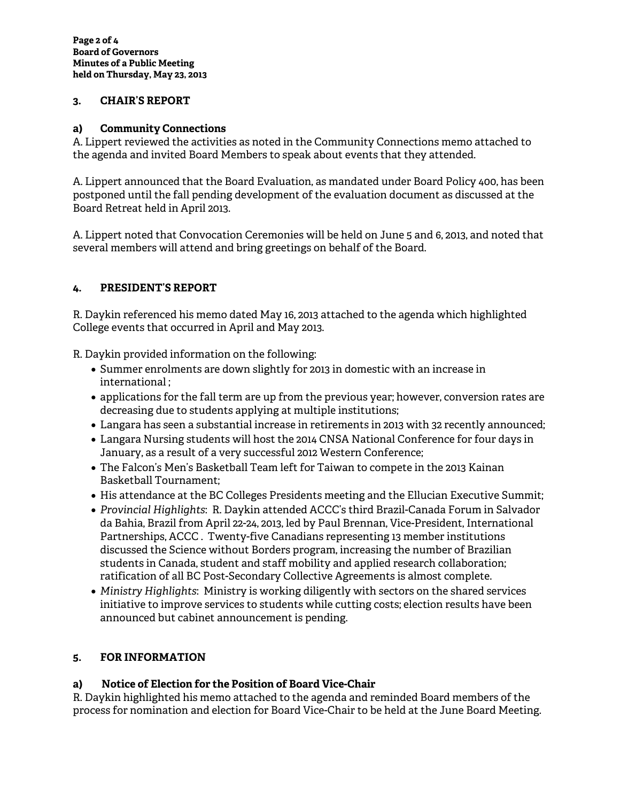### **3. CHAIR'S REPORT**

## **a) Community Connections**

A. Lippert reviewed the activities as noted in the Community Connections memo attached to the agenda and invited Board Members to speak about events that they attended.

A. Lippert announced that the Board Evaluation, as mandated under Board Policy 400, has been postponed until the fall pending development of the evaluation document as discussed at the Board Retreat held in April 2013.

A. Lippert noted that Convocation Ceremonies will be held on June 5 and 6, 2013, and noted that several members will attend and bring greetings on behalf of the Board.

## **4. PRESIDENT'S REPORT**

R. Daykin referenced his memo dated May 16, 2013 attached to the agenda which highlighted College events that occurred in April and May 2013.

R. Daykin provided information on the following:

- Summer enrolments are down slightly for 2013 in domestic with an increase in international ;
- applications for the fall term are up from the previous year; however, conversion rates are decreasing due to students applying at multiple institutions;
- Langara has seen a substantial increase in retirements in 2013 with 32 recently announced;
- Langara Nursing students will host the 2014 CNSA National Conference for four days in January, as a result of a very successful 2012 Western Conference;
- The Falcon's Men's Basketball Team left for Taiwan to compete in the 2013 Kainan Basketball Tournament;
- His attendance at the BC Colleges Presidents meeting and the Ellucian Executive Summit;
- *Provincial Highlights*: R. Daykin attended ACCC's third Brazil-Canada Forum in Salvador da Bahia, Brazil from April 22-24, 2013, led by Paul Brennan, Vice-President, International Partnerships, ACCC . Twenty-five Canadians representing 13 member institutions discussed the Science without Borders program, increasing the number of Brazilian students in Canada, student and staff mobility and applied research collaboration; ratification of all BC Post-Secondary Collective Agreements is almost complete.
- *Ministry Highlights*: Ministry is working diligently with sectors on the shared services initiative to improve services to students while cutting costs; election results have been announced but cabinet announcement is pending.

# **5. FOR INFORMATION**

# **a) Notice of Election for the Position of Board Vice-Chair**

R. Daykin highlighted his memo attached to the agenda and reminded Board members of the process for nomination and election for Board Vice-Chair to be held at the June Board Meeting.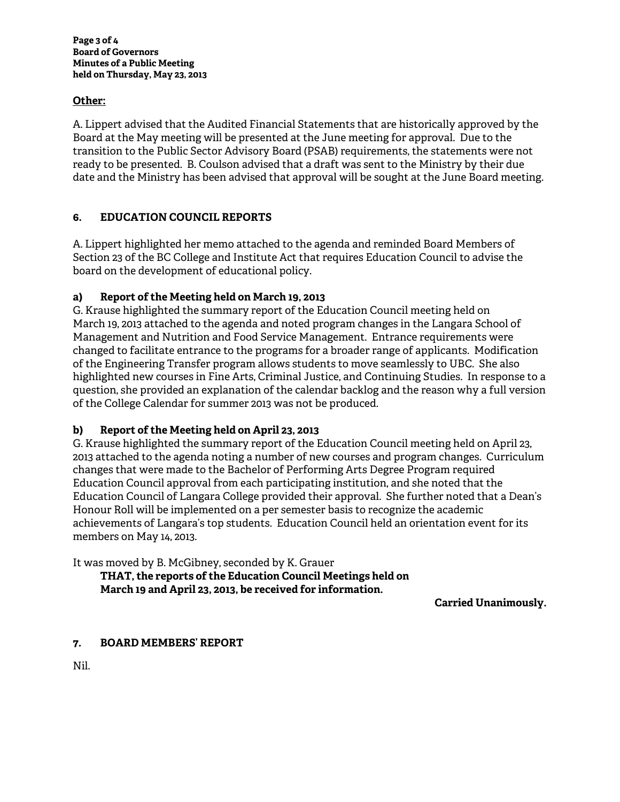### **Other:**

A. Lippert advised that the Audited Financial Statements that are historically approved by the Board at the May meeting will be presented at the June meeting for approval. Due to the transition to the Public Sector Advisory Board (PSAB) requirements, the statements were not ready to be presented. B. Coulson advised that a draft was sent to the Ministry by their due date and the Ministry has been advised that approval will be sought at the June Board meeting.

## **6. EDUCATION COUNCIL REPORTS**

A. Lippert highlighted her memo attached to the agenda and reminded Board Members of Section 23 of the BC College and Institute Act that requires Education Council to advise the board on the development of educational policy.

## **a) Report of the Meeting held on March 19, 2013**

G. Krause highlighted the summary report of the Education Council meeting held on March 19, 2013 attached to the agenda and noted program changes in the Langara School of Management and Nutrition and Food Service Management. Entrance requirements were changed to facilitate entrance to the programs for a broader range of applicants. Modification of the Engineering Transfer program allows students to move seamlessly to UBC. She also highlighted new courses in Fine Arts, Criminal Justice, and Continuing Studies. In response to a question, she provided an explanation of the calendar backlog and the reason why a full version of the College Calendar for summer 2013 was not be produced.

#### **b) Report of the Meeting held on April 23, 2013**

G. Krause highlighted the summary report of the Education Council meeting held on April 23, 2013 attached to the agenda noting a number of new courses and program changes. Curriculum changes that were made to the Bachelor of Performing Arts Degree Program required Education Council approval from each participating institution, and she noted that the Education Council of Langara College provided their approval. She further noted that a Dean's Honour Roll will be implemented on a per semester basis to recognize the academic achievements of Langara's top students. Education Council held an orientation event for its members on May 14, 2013.

It was moved by B. McGibney, seconded by K. Grauer

 **THAT, the reports of the Education Council Meetings held on March 19 and April 23, 2013, be received for information.** 

**Carried Unanimously.** 

#### **7. BOARD MEMBERS' REPORT**

Nil.